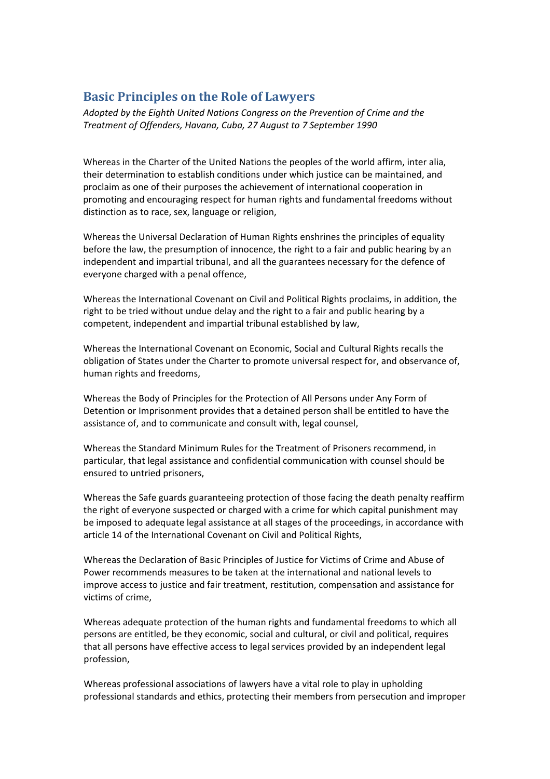## **Basic Principles on the Role of Lawyers**

*Adopted by the Eighth United Nations Congress on the Prevention of Crime and the Treatment of Offenders, Havana, Cuba, 27 August to 7 September 1990*

Whereas in the Charter of the United Nations the peoples of the world affirm, inter alia, their determination to establish conditions under which justice can be maintained, and proclaim as one of their purposes the achievement of international cooperation in promoting and encouraging respect for human rights and fundamental freedoms without distinction as to race, sex, language or religion,

Whereas the Universal Declaration of Human Rights enshrines the principles of equality before the law, the presumption of innocence, the right to a fair and public hearing by an independent and impartial tribunal, and all the guarantees necessary for the defence of everyone charged with a penal offence,

Whereas the International Covenant on Civil and Political Rights proclaims, in addition, the right to be tried without undue delay and the right to a fair and public hearing by a competent, independent and impartial tribunal established by law,

Whereas the International Covenant on Economic, Social and Cultural Rights recalls the obligation of States under the Charter to promote universal respect for, and observance of, human rights and freedoms,

Whereas the Body of Principles for the Protection of All Persons under Any Form of Detention or Imprisonment provides that a detained person shall be entitled to have the assistance of, and to communicate and consult with, legal counsel,

Whereas the Standard Minimum Rules for the Treatment of Prisoners recommend, in particular, that legal assistance and confidential communication with counsel should be ensured to untried prisoners,

Whereas the Safe guards guaranteeing protection of those facing the death penalty reaffirm the right of everyone suspected or charged with a crime for which capital punishment may be imposed to adequate legal assistance at all stages of the proceedings, in accordance with article 14 of the International Covenant on Civil and Political Rights,

Whereas the Declaration of Basic Principles of Justice for Victims of Crime and Abuse of Power recommends measures to be taken at the international and national levels to improve access to justice and fair treatment, restitution, compensation and assistance for victims of crime,

Whereas adequate protection of the human rights and fundamental freedoms to which all persons are entitled, be they economic, social and cultural, or civil and political, requires that all persons have effective access to legal services provided by an independent legal profession,

Whereas professional associations of lawyers have a vital role to play in upholding professional standards and ethics, protecting their members from persecution and improper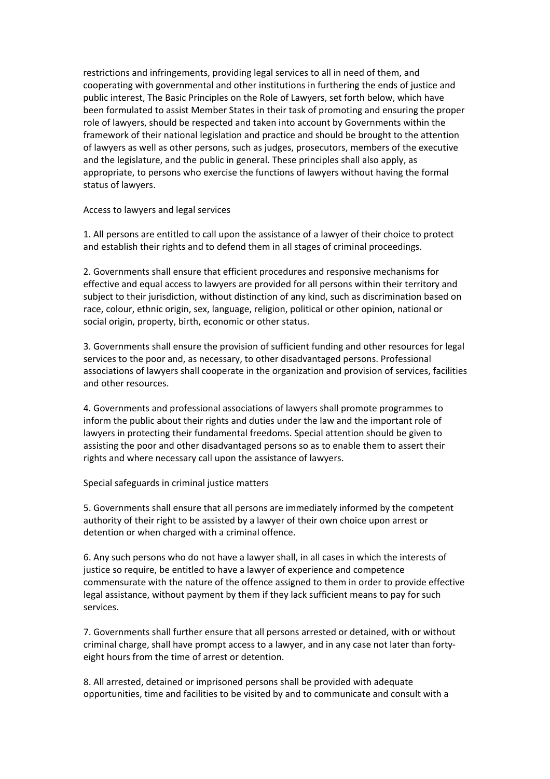restrictions and infringements, providing legal services to all in need of them, and cooperating with governmental and other institutions in furthering the ends of justice and public interest, The Basic Principles on the Role of Lawyers, set forth below, which have been formulated to assist Member States in their task of promoting and ensuring the proper role of lawyers, should be respected and taken into account by Governments within the framework of their national legislation and practice and should be brought to the attention of lawyers as well as other persons, such as judges, prosecutors, members of the executive and the legislature, and the public in general. These principles shall also apply, as appropriate, to persons who exercise the functions of lawyers without having the formal status of lawyers.

Access to lawyers and legal services

1. All persons are entitled to call upon the assistance of a lawyer of their choice to protect and establish their rights and to defend them in all stages of criminal proceedings.

2. Governments shall ensure that efficient procedures and responsive mechanisms for effective and equal access to lawyers are provided for all persons within their territory and subject to their jurisdiction, without distinction of any kind, such as discrimination based on race, colour, ethnic origin, sex, language, religion, political or other opinion, national or social origin, property, birth, economic or other status.

3. Governments shall ensure the provision of sufficient funding and other resources for legal services to the poor and, as necessary, to other disadvantaged persons. Professional associations of lawyers shall cooperate in the organization and provision of services, facilities and other resources.

4. Governments and professional associations of lawyers shall promote programmes to inform the public about their rights and duties under the law and the important role of lawyers in protecting their fundamental freedoms. Special attention should be given to assisting the poor and other disadvantaged persons so as to enable them to assert their rights and where necessary call upon the assistance of lawyers.

Special safeguards in criminal justice matters

5. Governments shall ensure that all persons are immediately informed by the competent authority of their right to be assisted by a lawyer of their own choice upon arrest or detention or when charged with a criminal offence.

6. Any such persons who do not have a lawyer shall, in all cases in which the interests of justice so require, be entitled to have a lawyer of experience and competence commensurate with the nature of the offence assigned to them in order to provide effective legal assistance, without payment by them if they lack sufficient means to pay for such services.

7. Governments shall further ensure that all persons arrested or detained, with or without criminal charge, shall have prompt access to a lawyer, and in any case not later than forty‐ eight hours from the time of arrest or detention.

8. All arrested, detained or imprisoned persons shall be provided with adequate opportunities, time and facilities to be visited by and to communicate and consult with a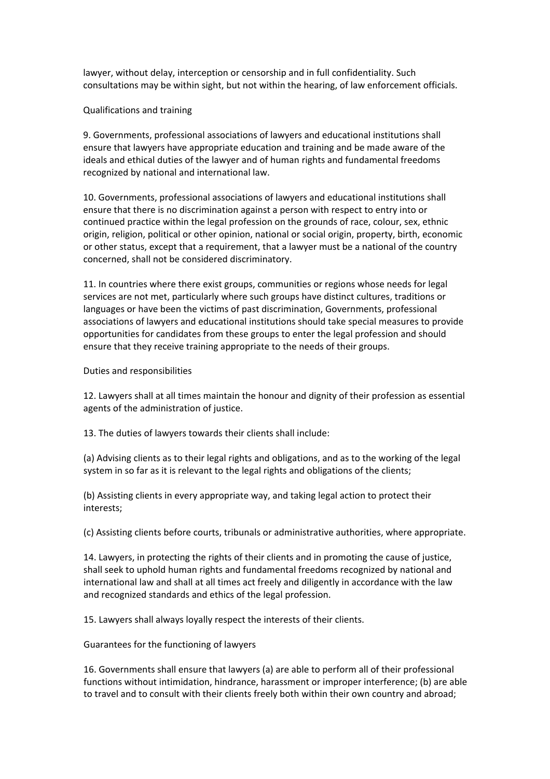lawyer, without delay, interception or censorship and in full confidentiality. Such consultations may be within sight, but not within the hearing, of law enforcement officials.

## Qualifications and training

9. Governments, professional associations of lawyers and educational institutions shall ensure that lawyers have appropriate education and training and be made aware of the ideals and ethical duties of the lawyer and of human rights and fundamental freedoms recognized by national and international law.

10. Governments, professional associations of lawyers and educational institutions shall ensure that there is no discrimination against a person with respect to entry into or continued practice within the legal profession on the grounds of race, colour, sex, ethnic origin, religion, political or other opinion, national or social origin, property, birth, economic or other status, except that a requirement, that a lawyer must be a national of the country concerned, shall not be considered discriminatory.

11. In countries where there exist groups, communities or regions whose needs for legal services are not met, particularly where such groups have distinct cultures, traditions or languages or have been the victims of past discrimination, Governments, professional associations of lawyers and educational institutions should take special measures to provide opportunities for candidates from these groups to enter the legal profession and should ensure that they receive training appropriate to the needs of their groups.

Duties and responsibilities

12. Lawyers shall at all times maintain the honour and dignity of their profession as essential agents of the administration of justice.

13. The duties of lawyers towards their clients shall include:

(a) Advising clients as to their legal rights and obligations, and as to the working of the legal system in so far as it is relevant to the legal rights and obligations of the clients;

(b) Assisting clients in every appropriate way, and taking legal action to protect their interests;

(c) Assisting clients before courts, tribunals or administrative authorities, where appropriate.

14. Lawyers, in protecting the rights of their clients and in promoting the cause of justice, shall seek to uphold human rights and fundamental freedoms recognized by national and international law and shall at all times act freely and diligently in accordance with the law and recognized standards and ethics of the legal profession.

15. Lawyers shall always loyally respect the interests of their clients.

Guarantees for the functioning of lawyers

16. Governments shall ensure that lawyers (a) are able to perform all of their professional functions without intimidation, hindrance, harassment or improper interference; (b) are able to travel and to consult with their clients freely both within their own country and abroad;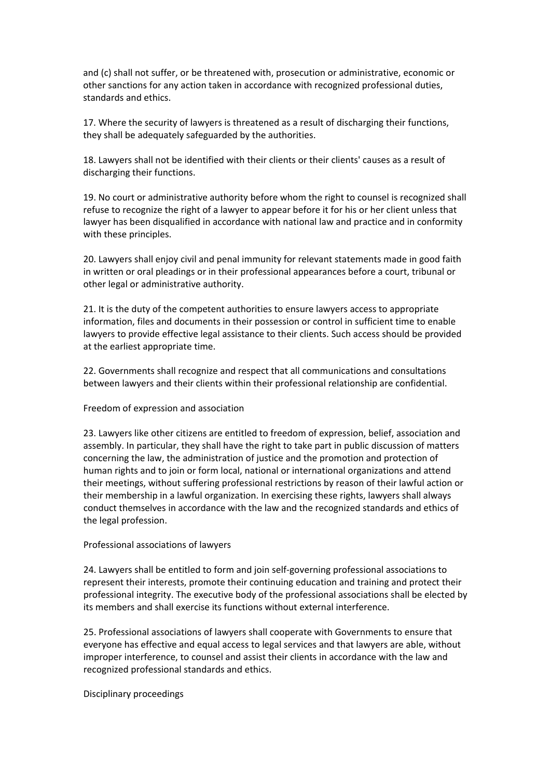and (c) shall not suffer, or be threatened with, prosecution or administrative, economic or other sanctions for any action taken in accordance with recognized professional duties, standards and ethics.

17. Where the security of lawyers is threatened as a result of discharging their functions, they shall be adequately safeguarded by the authorities.

18. Lawyers shall not be identified with their clients or their clients' causes as a result of discharging their functions.

19. No court or administrative authority before whom the right to counsel is recognized shall refuse to recognize the right of a lawyer to appear before it for his or her client unless that lawyer has been disqualified in accordance with national law and practice and in conformity with these principles.

20. Lawyers shall enjoy civil and penal immunity for relevant statements made in good faith in written or oral pleadings or in their professional appearances before a court, tribunal or other legal or administrative authority.

21. It is the duty of the competent authorities to ensure lawyers access to appropriate information, files and documents in their possession or control in sufficient time to enable lawyers to provide effective legal assistance to their clients. Such access should be provided at the earliest appropriate time.

22. Governments shall recognize and respect that all communications and consultations between lawyers and their clients within their professional relationship are confidential.

Freedom of expression and association

23. Lawyers like other citizens are entitled to freedom of expression, belief, association and assembly. In particular, they shall have the right to take part in public discussion of matters concerning the law, the administration of justice and the promotion and protection of human rights and to join or form local, national or international organizations and attend their meetings, without suffering professional restrictions by reason of their lawful action or their membership in a lawful organization. In exercising these rights, lawyers shall always conduct themselves in accordance with the law and the recognized standards and ethics of the legal profession.

Professional associations of lawyers

24. Lawyers shall be entitled to form and join self‐governing professional associations to represent their interests, promote their continuing education and training and protect their professional integrity. The executive body of the professional associations shall be elected by its members and shall exercise its functions without external interference.

25. Professional associations of lawyers shall cooperate with Governments to ensure that everyone has effective and equal access to legal services and that lawyers are able, without improper interference, to counsel and assist their clients in accordance with the law and recognized professional standards and ethics.

Disciplinary proceedings